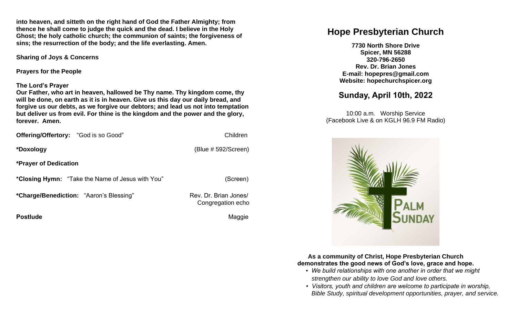**into heaven, and sitteth on the right hand of God the Father Almighty; from thence he shall come to judge the quick and the dead. I believe in the Holy Ghost; the holy catholic church; the communion of saints; the forgiveness of sins; the resurrection of the body; and the life everlasting. Amen.**

**Sharing of Joys & Concerns**

**Prayers for the People**

### **The Lord's Prayer**

**Our Father, who art in heaven, hallowed be Thy name. Thy kingdom come, thy will be done, on earth as it is in heaven. Give us this day our daily bread, and forgive us our debts, as we forgive our debtors; and lead us not into temptation but deliver us from evil. For thine is the kingdom and the power and the glory, forever. Amen.** 

| <b>Offering/Offertory:</b> "God is so Good" | Children               |
|---------------------------------------------|------------------------|
| *Doxology                                   | (Blue $# 592/Screen$ ) |
| <b>*Prayer of Dedication</b>                |                        |
|                                             |                        |

**\*Closing Hymn:** "Take the Name of Jesus with You" (Screen)

\*Charge/Benediction: "Aaron's Blessing" Rev. Dr. Brian Jones/

**Postlude Contract Contract Contract Contract Contract Contract Contract Contract Contract Contract Contract Contract Contract Contract Contract Contract Contract Contract Contract Contract Contract Contract Contract Contr** 

Congregation echo

# **Hope Presbyterian Church**

**7730 North Shore Drive Spicer, MN 56288 320-796-2650 Rev. Dr. Brian Jones E-mail: hopepres@gmail.com Website: hopechurchspicer.org**

# **Sunday, April 10th, 2022**

10:00 a.m. Worship Service (Facebook Live & on KGLH 96.9 FM Radio)



**As a community of Christ, Hope Presbyterian Church demonstrates the good news of God's love, grace and hope.**

- *We build relationships with one another in order that we might strengthen our ability to love God and love others.*
- *Visitors, youth and children are welcome to participate in worship, Bible Study, spiritual development opportunities, prayer, and service.*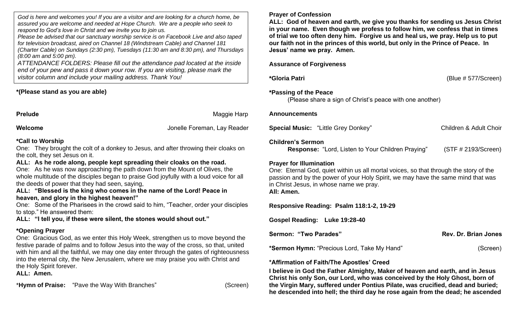*God is here and welcomes you! If you are a visitor and are looking for a church home, be assured you are welcome and needed at Hope Church. We are a people who seek to respond to God's love in Christ and we invite you to join us.*

*Please be advised that our sanctuary worship service is on Facebook Live and also taped for television broadcast, aired on Channel 18 (Windstream Cable) and Channel 181 (Charter Cable) on Sundays (2:30 pm), Tuesdays (11:30 am and 8:30 pm), and Thursdays (8:00 am and 5:00 pm).*

*ATTENDANCE FOLDERS: Please fill out the attendance pad located at the inside end of your pew and pass it down your row. If you are visiting, please mark the visitor column and include your mailing address. Thank You!*

## **\*(Please stand as you are able)**

**Prelude** Maggie Harp

**Welcome** Jonelle Foreman, Lay Reader

## **\*Call to Worship**

One: They brought the colt of a donkey to Jesus, and after throwing their cloaks on the colt, they set Jesus on it.

**ALL: As he rode along, people kept spreading their cloaks on the road.**  One: As he was now approaching the path down from the Mount of Olives, the whole multitude of the disciples began to praise God joyfully with a loud voice for all the deeds of power that they had seen, saying,

**ALL: "Blessed is the king who comes in the name of the Lord! Peace in heaven, and glory in the highest heaven!"** 

One: Some of the Pharisees in the crowd said to him, "Teacher, order your disciples to stop." He answered them:

**ALL: "I tell you, if these were silent, the stones would shout out."**

## **\*Opening Prayer**

One: Gracious God, as we enter this Holy Week, strengthen us to move beyond the festive parade of palms and to follow Jesus into the way of the cross, so that, united with him and all the faithful, we may one day enter through the gates of righteousness into the eternal city, the New Jerusalem, where we may praise you with Christ and the Holy Spirit forever.

**ALL: Amen.**

\***Hymn of Praise:** "Pave the Way With Branches" (Screen)

### **Prayer of Confession**

**ALL: God of heaven and earth, we give you thanks for sending us Jesus Christ in your name. Even though we profess to follow him, we confess that in times of trial we too often deny him. Forgive us and heal us, we pray. Help us to put our faith not in the princes of this world, but only in the Prince of Peace. In Jesus' name we pray. Amen.**

**Assurance of Forgiveness**

**\*Gloria Patri** (Blue # 577/Screen)

## **\*Passing of the Peace**

(Please share a sign of Christ's peace with one another)

#### **Announcements**

**Special Music:** "Little Grey Donkey" Children & Adult Choir

#### **Children's Sermon**

**Response:** "Lord, Listen to Your Children Praying" (STF # 2193/Screen)

### **Prayer for Illumination**

One: Eternal God, quiet within us all mortal voices, so that through the story of the passion and by the power of your Holy Spirit, we may have the same mind that was in Christ Jesus, in whose name we pray. **All: Amen.**

**Responsive Reading: Psalm 118:1-2, 19-29** 

**Gospel Reading: Luke 19:28-40** 

| Sermon: "Two Parades"                       | Rev. Dr. Brian Jones |
|---------------------------------------------|----------------------|
| *Sermon Hymn: "Precious Lord, Take My Hand" | (Screen)             |

## **\*Affirmation of Faith/The Apostles' Creed**

**I believe in God the Father Almighty, Maker of heaven and earth, and in Jesus Christ his only Son, our Lord, who was conceived by the Holy Ghost, born of the Virgin Mary, suffered under Pontius Pilate, was crucified, dead and buried; he descended into hell; the third day he rose again from the dead; he ascended**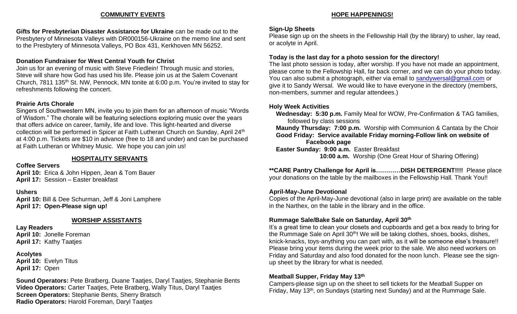#### **COMMUNITY EVENTS**

**Gifts for Presbyterian Disaster Assistance for Ukraine** can be made out to the Presbytery of Minnesota Valleys with DR000156-Ukraine on the memo line and sent to the Presbytery of Minnesota Valleys, PO Box 431, Kerkhoven MN 56252.

## **Donation Fundraiser for West Central Youth for Christ**

Join us for an evening of music with Steve Friedlein! Through music and stories, Steve will share how God has used his life. Please join us at the Salem Covenant Church, 7811 135th St. NW, Pennock, MN tonite at 6:00 p.m. You're invited to stay for refreshments following the concert.

### **Prairie Arts Chorale**

Singers of Southwestern MN, invite you to join them for an afternoon of music "Words of Wisdom." The chorale will be featuring selections exploring music over the years that offers advice on career, family, life and love. This light-hearted and diverse collection will be performed in Spicer at Faith Lutheran Church on Sunday, April 24<sup>th</sup> at 4:00 p.m. Tickets are \$10 in advance (free to 18 and under) and can be purchased at Faith Lutheran or Whitney Music. We hope you can join us!

## **HOSPITALITY SERVANTS**

### **Coffee Servers**

**April 10:** Erica & John Hippen, Jean & Tom Bauer **April 17:** Session – Easter breakfast

## **Ushers**

**April 10:** Bill & Dee Schurman, Jeff & Joni Lamphere **April 17: Open-Please sign up!**

## **WORSHIP ASSISTANTS**

**Lay Readers April 10:** Jonelle Foreman **April 17:** Kathy Taatjes

**Acolytes April 10:** Evelyn Titus **April 17:** Open

**Sound Operators:** Pete Bratberg, Duane Taatjes, Daryl Taatjes, Stephanie Bents **Video Operators:** Carter Taatjes, Pete Bratberg, Wally Titus, Daryl Taatjes **Screen Operators:** Stephanie Bents, Sherry Bratsch **Radio Operators:** Harold Foreman, Daryl Taatjes

## **HOPE HAPPENINGS!**

## **Sign-Up Sheets**

Please sign up on the sheets in the Fellowship Hall (by the library) to usher, lay read, or acolyte in April.

## **Today is the last day for a photo session for the directory!**

The last photo session is today, after worship. If you have not made an appointment, please come to the Fellowship Hall, far back corner, and we can do your photo today. You can also submit a photograph, either via email to [sandywersal@gmail.com](mailto:sandywersal@gmail.com) or give it to Sandy Wersal. We would like to have everyone in the directory (members, non-members, summer and regular attendees.)

## **Holy Week Activities**

 **Wednesday: 5:30 p.m.** Family Meal for WOW, Pre-Confirmation & TAG families, followed by class sessions  **Maundy Thursday: 7:00 p.m.** Worship with Communion & Cantata by the Choir **Good Friday: Service available Friday morning-Follow link on website of Facebook page Easter Sunday: 9:00 a.m.** Easter Breakfast

**10:00 a.m.** Worship (One Great Hour of Sharing Offering)

#### **\*\*CARE Pantry Challenge for April is…………DISH DETERGENT!!!!** Please place your donations on the table by the mailboxes in the Fellowship Hall. Thank You!!

## **April-May-June Devotional**

Copies of the April-May-June devotional (also in large print) are available on the table in the Narthex, on the table in the library and in the office.

## **Rummage Sale/Bake Sale on Saturday, April 30th**

It's a great time to clean your closets and cupboards and get a box ready to bring for the Rummage Sale on April 30<sup>th</sup>! We will be taking clothes, shoes, books, dishes, knick-knacks, toys-anything you can part with, as it will be someone else's treasure!! Please bring your items during the week prior to the sale. We also need workers on Friday and Saturday and also food donated for the noon lunch. Please see the signup sheet by the library for what is needed.

## **Meatball Supper, Friday May 13th**

Campers-please sign up on the sheet to sell tickets for the Meatball Supper on Friday, May 13<sup>th</sup>, on Sundays (starting next Sunday) and at the Rummage Sale.